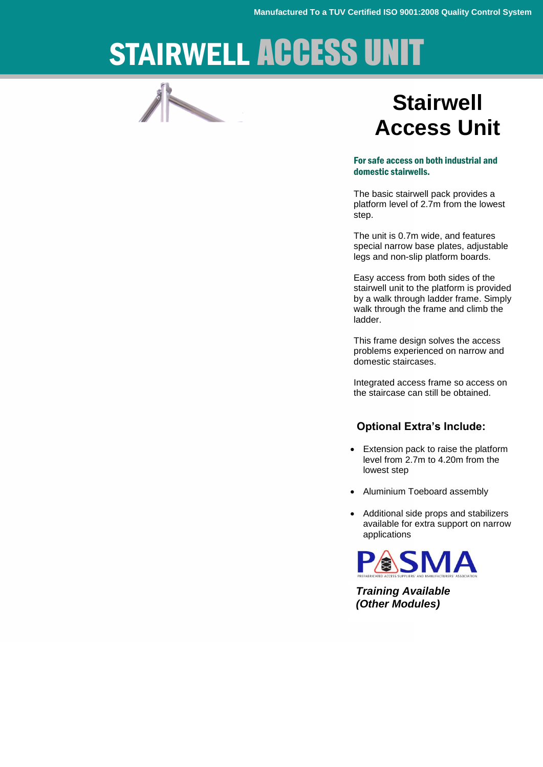# STAIRWELL ACCESS UNIT

## **Stairwell Access Unit**

#### For safe access on both industrial and domestic stairwells.

The basic stairwell pack provides a platform level of 2.7m from the lowest step.

The unit is 0.7m wide, and features special narrow base plates, adjustable legs and non-slip platform boards.

Easy access from both sides of the stairwell unit to the platform is provided by a walk through ladder frame. Simply walk through the frame and climb the ladder.

This frame design solves the access problems experienced on narrow and domestic staircases.

Integrated access frame so access on the staircase can still be obtained.

#### **Optional Extra's Include:**

- Extension pack to raise the platform level from 2.7m to 4.20m from the lowest step
- Aluminium Toeboard assembly
- Additional side props and stabilizers available for extra support on narrow applications



*Training Available (Other Modules)*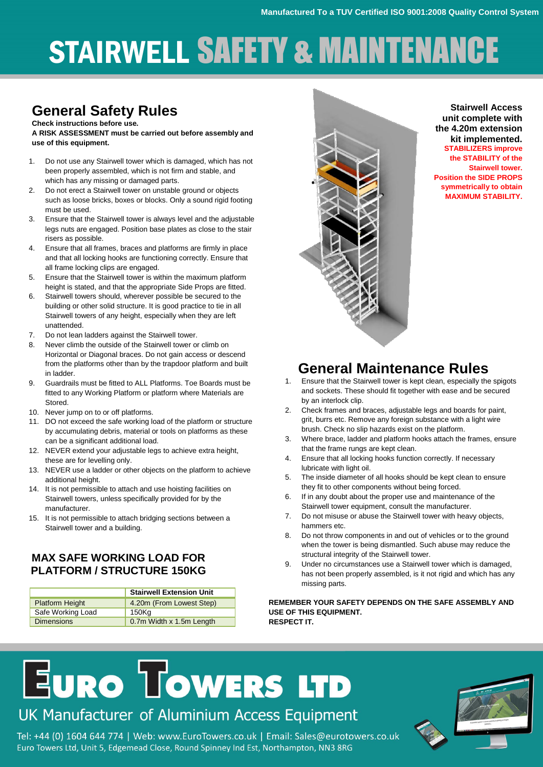# STAIRWELL SAFETY & MAINTENANCE

#### **General Safety Rules Check instructions before use.**

**A RISK ASSESSMENT must be carried out before assembly and use of this equipment.**

- 1. Do not use any Stairwell tower which is damaged, which has not been properly assembled, which is not firm and stable, and which has any missing or damaged parts.
- 2. Do not erect a Stairwell tower on unstable ground or objects such as loose bricks, boxes or blocks. Only a sound rigid footing must be used.
- 3. Ensure that the Stairwell tower is always level and the adjustable legs nuts are engaged. Position base plates as close to the stair risers as possible.
- 4. Ensure that all frames, braces and platforms are firmly in place and that all locking hooks are functioning correctly. Ensure that all frame locking clips are engaged.
- 5. Ensure that the Stairwell tower is within the maximum platform height is stated, and that the appropriate Side Props are fitted.
- 6. Stairwell towers should, wherever possible be secured to the building or other solid structure. It is good practice to tie in all Stairwell towers of any height, especially when they are left unattended.
- 7. Do not lean ladders against the Stairwell tower.
- 8. Never climb the outside of the Stairwell tower or climb on Horizontal or Diagonal braces. Do not gain access or descend from the platforms other than by the trapdoor platform and built in ladder.
- 9. Guardrails must be fitted to ALL Platforms. Toe Boards must be fitted to any Working Platform or platform where Materials are Stored.
- 10. Never jump on to or off platforms.
- 11. DO not exceed the safe working load of the platform or structure by accumulating debris, material or tools on platforms as these can be a significant additional load.
- 12. NEVER extend your adjustable legs to achieve extra height, these are for levelling only.
- 13. NEVER use a ladder or other objects on the platform to achieve additional height.
- 14. It is not permissible to attach and use hoisting facilities on Stairwell towers, unless specifically provided for by the manufacturer.
- 15. It is not permissible to attach bridging sections between a Stairwell tower and a building.

#### **MAX SAFE WORKING LOAD FOR PLATFORM / STRUCTURE 150KG**

|                        | <b>Stairwell Extension Unit</b> |
|------------------------|---------------------------------|
| <b>Platform Height</b> | 4.20m (From Lowest Step)        |
| Safe Working Load      | 150Kg                           |
| <b>Dimensions</b>      | 0.7m Width x 1.5m Length        |



**Stairwell Access unit complete with the 4.20m extension kit implemented. STABILIZERS improve the STABILITY of the Stairwell tower. Position the SIDE PROPS symmetrically to obtain MAXIMUM STABILITY.**

### **General Maintenance Rules**

- 1. Ensure that the Stairwell tower is kept clean, especially the spigots and sockets. These should fit together with ease and be secured by an interlock clip.
- 2. Check frames and braces, adjustable legs and boards for paint, grit, burrs etc. Remove any foreign substance with a light wire brush. Check no slip hazards exist on the platform.
- 3. Where brace, ladder and platform hooks attach the frames, ensure that the frame rungs are kept clean.
- 4. Ensure that all locking hooks function correctly. If necessary lubricate with light oil.
- 5. The inside diameter of all hooks should be kept clean to ensure they fit to other components without being forced.
- 6. If in any doubt about the proper use and maintenance of the Stairwell tower equipment, consult the manufacturer.
- 7. Do not misuse or abuse the Stairwell tower with heavy objects, hammers etc.
- 8. Do not throw components in and out of vehicles or to the ground when the tower is being dismantled. Such abuse may reduce the structural integrity of the Stairwell tower.
- 9. Under no circumstances use a Stairwell tower which is damaged, has not been properly assembled, is it not rigid and which has any missing parts.

**REMEMBER YOUR SAFETY DEPENDS ON THE SAFE ASSEMBLY AND USE OF THIS EQUIPMENT. RESPECT IT.**

# **EURO TOWERS LTD**

### UK Manufacturer of Aluminium Access Equipment

Tel: +44 (0) 1604 644 774 | Web: www.EuroTowers.co.uk | Email: Sales@eurotowers.co.uk Euro Towers Ltd, Unit 5, Edgemead Close, Round Spinney Ind Est, Northampton, NN3 8RG